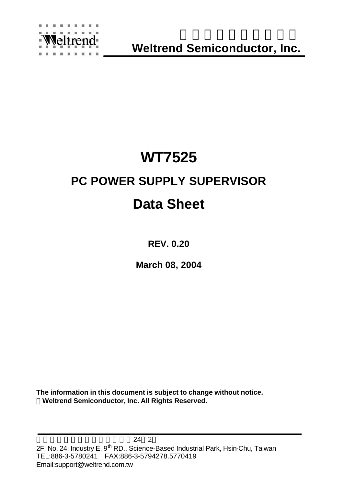

`

**Weltrend Semiconductor, Inc.**

# **WT7525**

# **PC POWER SUPPLY SUPERVISOR**

# **Data Sheet**

**REV. 0.20**

**March 08, 2004**

**The information in this document is subject to change without notice. ÓWeltrend Semiconductor, Inc. All Rights Reserved.**

 $\sim$  24 2 2F, No. 24, Industry E. 9<sup>th</sup> RD., Science-Based Industrial Park, Hsin-Chu, Taiwan TEL:886-3-5780241 FAX:886-3-5794278.5770419 Email:support@weltrend.com.tw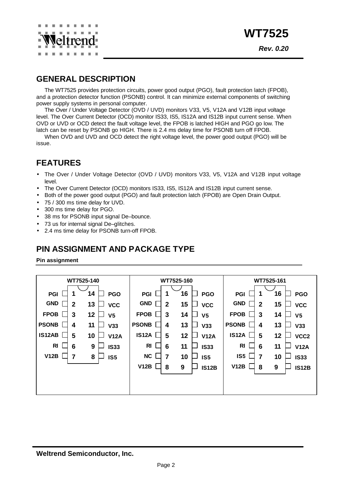

## **GENERAL DESCRIPTION**

The WT7525 provides protection circuits, power good output (PGO), fault protection latch (FPOB), and a protection detector function (PSONB) control. It can minimize external components of switching power supply systems in personal computer.

The Over / Under Voltage Detector (OVD / UVD) monitors V33, V5, V12A and V12B input voltage level. The Over Current Detector (OCD) monitor IS33, IS5, IS12A and IS12B input current sense. When OVD or UVD or OCD detect the fault voltage level, the FPOB is latched HIGH and PGO go low. The latch can be reset by PSONB go HIGH. There is 2.4 ms delay time for PSONB turn off FPOB.

When OVD and UVD and OCD detect the right voltage level, the power good output (PGO) will be issue.

## **FEATURES**

- The Over / Under Voltage Detector (OVD / UVD) monitors V33, V5, V12A and V12B input voltage level.
- The Over Current Detector (OCD) monitors IS33, IS5, IS12A and IS12B input current sense.
- Both of the power good output (PGO) and fault protection latch (FPOB) are Open Drain Output.
- 75 / 300 ms time delay for UVD.
- 300 ms time delay for PGO.
- 38 ms for PSONB input signal De–bounce.
- 73 us for internal signal De–glitches.
- 2.4 ms time delay for PSONB turn-off FPOB.

### **PIN ASSIGNMENT AND PACKAGE TYPE**

**Pin assignment**

| WT7525-140                          |        |                | WT7525-160   |                |    | WT7525-161     |                |                |                        |
|-------------------------------------|--------|----------------|--------------|----------------|----|----------------|----------------|----------------|------------------------|
| 1<br><b>PGI</b>                     | 14     | <b>PGO</b>     | <b>PGI</b>   | 1              | 16 | <b>PGO</b>     | <b>PGI</b>     | 1              | 16<br><b>PGO</b>       |
| <b>GND</b><br>$\overline{2}$        | 13     | <b>VCC</b>     | <b>GND</b>   | $\overline{2}$ | 15 | <b>VCC</b>     | <b>GND</b>     | $\overline{2}$ | 15<br><b>VCC</b>       |
| <b>FPOB</b><br>3                    | 12     | V <sub>5</sub> | <b>FPOB</b>  | 3              | 14 | V <sub>5</sub> | <b>FPOB</b>    | 3              | 14<br>V <sub>5</sub>   |
| <b>PSONB</b><br>4                   | 11     | <b>V33</b>     | <b>PSONB</b> | 4              | 13 | <b>V33</b>     | <b>PSONB</b>   | 4              | 13<br>V33              |
| <b>IS12AB</b><br>5                  | 10     | <b>V12A</b>    | <b>IS12A</b> | 5              | 12 | <b>V12A</b>    | <b>IS12A</b>   | 5              | 12<br>VCC <sub>2</sub> |
| R <sub>l</sub><br>6<br>$\mathbf{L}$ | 9      | <b>IS33</b>    | <b>RI</b>    | 6              | 11 | <b>IS33</b>    | R <sub>l</sub> | 6              | 11<br><b>V12A</b>      |
| V12B                                | 8<br>7 | <b>IS5</b>     | NC           | 7              | 10 | <b>IS5</b>     | <b>IS5</b>     | 7              | 10<br><b>IS33</b>      |
|                                     |        |                | V12B         | 8              | 9  | <b>IS12B</b>   | V12B           | 8              | 9<br><b>IS12B</b>      |
|                                     |        |                |              |                |    |                |                |                |                        |
|                                     |        |                |              |                |    |                |                |                |                        |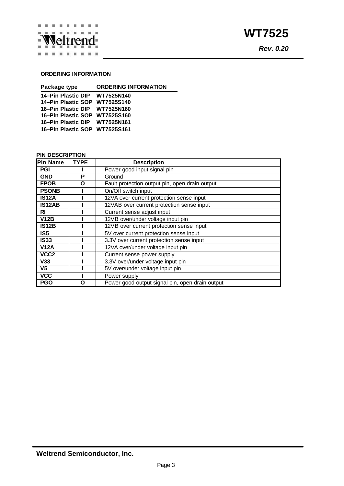

#### **ORDERING INFORMATION**

| Package type                  | <b>ORDERING INFORMATION</b> |
|-------------------------------|-----------------------------|
| 14–Pin Plastic DIP WT7525N140 |                             |
| 14–Pin Plastic SOP WT7525S140 |                             |
| 16–Pin Plastic DIP WT7525N160 |                             |
| 16-Pin Plastic SOP WT7525S160 |                             |
| 16–Pin Plastic DIP WT7525N161 |                             |
| 16–Pin Plastic SOP WT7525S161 |                             |

#### **PIN DESCRIPTION**

| <b>Pin Name</b>  | <b>TYPE</b> | <b>Description</b>                              |
|------------------|-------------|-------------------------------------------------|
| PGI              |             | Power good input signal pin                     |
| <b>GND</b>       | P           | Ground                                          |
| <b>FPOB</b>      | Ο           | Fault protection output pin, open drain output  |
| <b>PSONB</b>     |             | On/Off switch input                             |
| <b>IS12A</b>     |             | 12VA over current protection sense input        |
| <b>IS12AB</b>    |             | 12VAB over current protection sense input       |
| RI               |             | Current sense adjust input                      |
| <b>V12B</b>      |             | 12VB over/under voltage input pin               |
| <b>IS12B</b>     |             | 12VB over current protection sense input        |
| IS <sub>5</sub>  |             | 5V over current protection sense input          |
| <b>IS33</b>      |             | 3.3V over current protection sense input        |
| <b>V12A</b>      |             | 12VA over/under voltage input pin               |
| VCC <sub>2</sub> |             | Current sense power supply                      |
| V33              |             | 3.3V over/under voltage input pin               |
| V <sub>5</sub>   |             | 5V over/under voltage input pin                 |
| <b>VCC</b>       |             | Power supply                                    |
| <b>PGO</b>       | O           | Power good output signal pin, open drain output |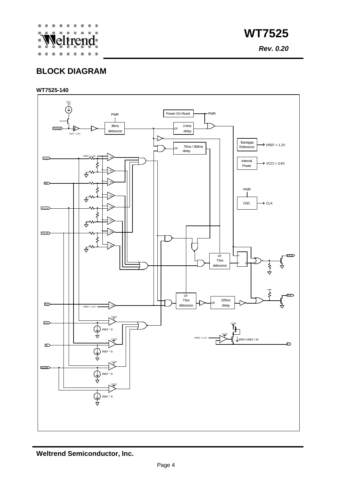

*Rev. 0.20*

## **BLOCK DIAGRAM**

#### **WT7525-140**



**Weltrend Semiconductor, Inc.**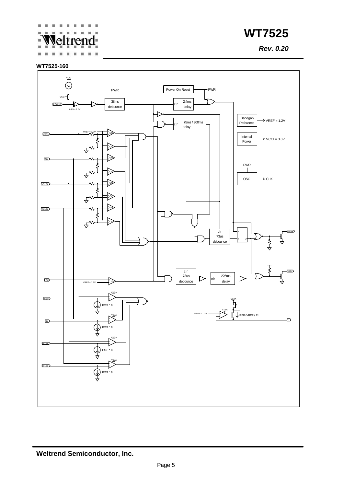#### ×. × ÷ leltrendú. ×



*Rev. 0.20*

#### **WT7525-160**

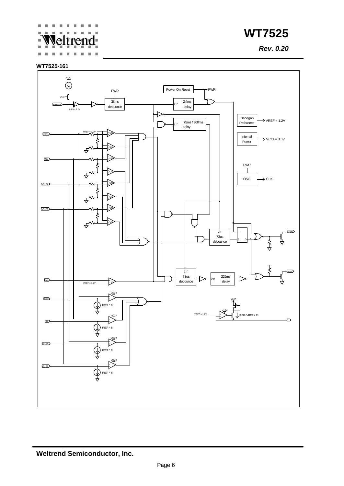#### ×. × ÷ leltrendú.

**WT7525**

*Rev. 0.20*

#### **WT7525-161**

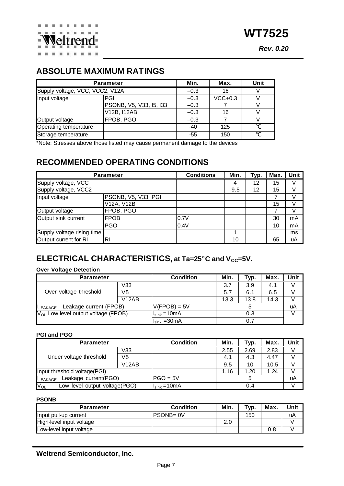*Rev. 0.20*

## **ABSOLUTE MAXIMUM RATINGS**

|                                 | <b>Parameter</b>        | Min.   | Max.      | Unit |
|---------------------------------|-------------------------|--------|-----------|------|
| Supply voltage, VCC, VCC2, V12A |                         | $-0.3$ | 16        |      |
| Input voltage                   | <b>PGI</b>              | $-0.3$ | $VCC+0.3$ |      |
|                                 | PSONB, V5, V33, I5, I33 | $-0.3$ |           |      |
|                                 | V12B, I12AB             | $-0.3$ | 16        |      |
| Output voltage                  | FPOB, PGO               | $-0.3$ |           |      |
| Operating temperature           |                         | $-40$  | 125       |      |
| Storage temperature             |                         | $-55$  | 150       |      |

\*Note: Stresses above those listed may cause permanent damage to the devices

## **RECOMMENDED OPERATING CONDITIONS**

|                            | <b>Parameter</b>    | <b>Conditions</b> | Min. | Typ. | Max. | Unit |
|----------------------------|---------------------|-------------------|------|------|------|------|
| Supply voltage, VCC        |                     |                   | 4    | 12   | 15   |      |
| Supply voltage, VCC2       |                     |                   |      | 12   | 15   |      |
| Input voltage              | PSONB, V5, V33, PGI |                   |      |      |      |      |
|                            | V12A, V12B          |                   |      |      | 15   |      |
| Output voltage             | FPOB, PGO           |                   |      |      |      |      |
| Output sink current        | <b>FPOB</b>         | 0.7V              |      |      | 30   | mA   |
|                            | <b>PGO</b>          | 0.4V              |      |      | 10   | mA   |
| Supply voltage rising time |                     |                   |      |      |      | ms   |
| Output current for RI      | R <sub>l</sub>      |                   | 10   |      | 65   | uA   |

## **ELECTRICAL CHARACTERISTICS, at Ta=25°C and V<sub>CC</sub>=5V.**

#### **Over Voltage Detection**

| <b>Parameter</b>                         |       | <b>Condition</b>                  | Min. | Typ. | Max. | Unit |
|------------------------------------------|-------|-----------------------------------|------|------|------|------|
|                                          | V33   |                                   | 3.7  | 3.9  | 4.1  |      |
| Over voltage threshold                   | V5    |                                   | 5.7  | 6.1  | 6.5  |      |
|                                          | V12AB |                                   | 13.3 | 13.8 | 14.3 |      |
| Leakage current (FPOB)<br><b>LEAKAGE</b> |       | $V(FPOB) = 5V$                    |      |      |      | uA   |
| $V_{OL}$ Low level output voltage (FPOB) |       | $II_{\text{sink}} = 10 \text{mA}$ | 0.3  |      |      |      |
|                                          |       | $IIsink = 30mA$                   |      | 0.7  |      |      |

#### **PGI and PGO**

| <b>Parameter</b>                          |                    | <b>Condition</b> | Min. | Typ. | Max. | Unit |
|-------------------------------------------|--------------------|------------------|------|------|------|------|
| Under voltage threshold                   | V33                |                  | 2.55 | 2.69 | 2.83 |      |
|                                           | V5                 |                  | 4.1  | 4.3  | 4.47 |      |
|                                           | V <sub>12</sub> AB |                  | 9.5  | 10   | 10.5 |      |
| Input threshold voltage(PGI)              |                    |                  | 1.16 | 1.20 | 1.24 |      |
| Leakage current(PGO)<br><b>LEAKAGE</b>    |                    | $PGO = 5V$       |      |      |      | uA   |
| $V_{OL}$<br>Low level output voltage(PGO) |                    | $IIsink = 10mA$  |      | 0.4  |      |      |

#### **PSONB**

| <b>Parameter</b>         | <b>Condition</b> | Min. | T <sub>VD</sub> | Max. | Unit |
|--------------------------|------------------|------|-----------------|------|------|
| Input pull-up current    | <b>PSONB=0V</b>  |      | 150             |      | uA   |
| High-level input voltage |                  | 2.0  |                 |      |      |
| Low-level input voltage  |                  |      |                 | 0.8  |      |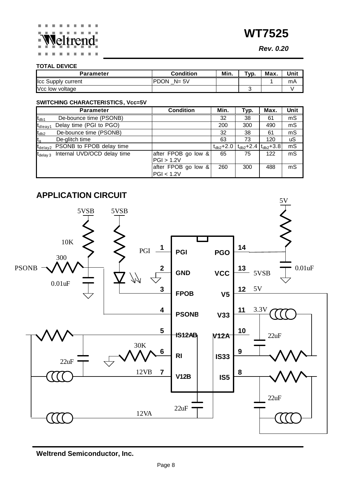*Rev. 0.20*

#### **TOTAL DEVICE**

| Parameter          | <b>Condition</b>        | Min. | $TVP$ . | Max. | Unit |
|--------------------|-------------------------|------|---------|------|------|
| Icc Supply current | <b>PDON</b><br>$N = 5V$ |      |         |      | mA   |
| Vcc low voltage    |                         |      |         |      |      |

#### **SWITCHING CHARACTERISTICS, Vcc=5V**

|                     | <b>Parameter</b>            | <b>Condition</b>                  | Min.            | Typ.            | Max.            | Unit      |
|---------------------|-----------------------------|-----------------------------------|-----------------|-----------------|-----------------|-----------|
| $t_{db1}$           | De-bounce time (PSONB)      |                                   | 32              | 38              | 61              | mS        |
| t <sub>dleay1</sub> | Delay time (PGI to PGO)     |                                   | 200             | 300             | 490             | mS        |
| $t_{db2}$           | De-bounce time (PSONB)      |                                   | 32              | 38              | 61              | mS        |
| $t_{\rm q}$         | De-glitch time              |                                   | 63              | 73              | 120             | <b>uS</b> |
| $t_{\sf delay2}$    | PSONB to FPOB delay time    |                                   | $t_{db2} + 2.0$ | $t_{db2} + 2.4$ | $t_{db2} + 3.8$ | mS        |
| $t_{\rm delay\,3}$  | Internal UVD/OCD delay time | after FPOB go low &<br>PGI > 1.2V | 65              | 75              | 122             | mS        |
|                     |                             | after FPOB go low &<br>PGI < 1.2V | 260             | 300             | 488             | mS        |



**Weltrend Semiconductor, Inc.**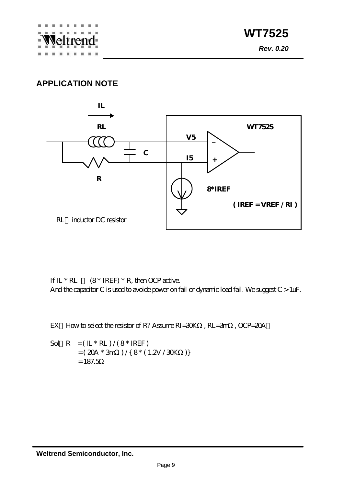## **APPLICATION NOTE**



If  $IL * RL$  (8 \* IREF) \* R, then OCP active. And the capacitor C is used to avoide power on fail or dynamic load fail. We suggest C > 1uF.

EX How to select the resistor of R? Assume RI=30K , RL=3m , OCP=20A

Sol  $R = (\mathbb{L} * \mathbb{R}) / (8 * \mathbb{R})$  $= (20A * 3m) / { 8 * (1.2V / 30K)}$  $= 187.5$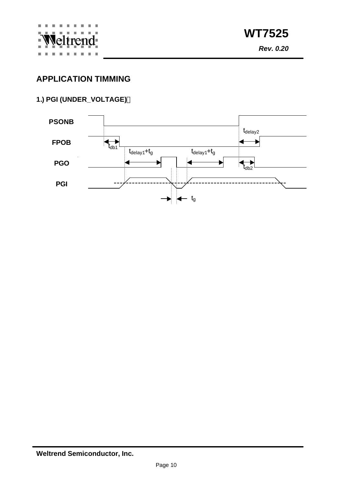

## **APPLICATION TIMMING**

## **1.) PGI (UNDER\_VOLTAGE)**



**Weltrend Semiconductor, Inc.**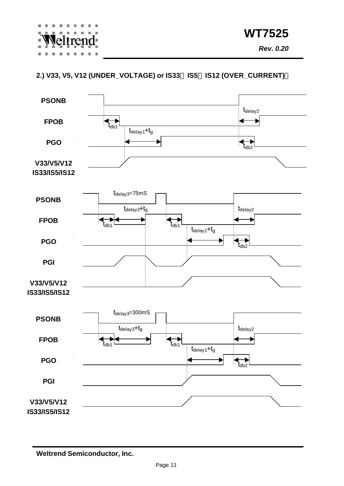#### **2.) V33, V5, V12 (UNDER\_VOLTAGE) or IS33 IS5 IS12 (OVER\_CURRENT)**



**Weltrend Semiconductor, Inc.**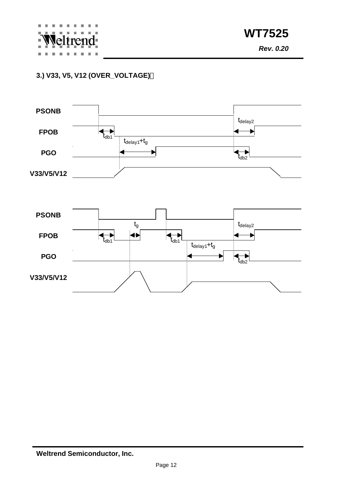*Rev. 0.20*

### **3.) V33, V5, V12 (OVER\_VOLTAGE)**

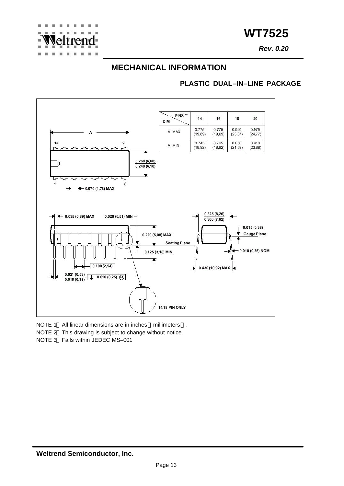*Rev. 0.20*

### **MECHANICAL INFORMATION**

#### **PLASTIC DUAL–IN–LINE PACKAGE**



- NOTE 1 All linear dimensions are in inches millimeters .
- NOTE 2 This drawing is subject to change without notice.
- NOTE 3 Falls within JEDEC MS–001

 $\overline{a}$ **COL** 

tren